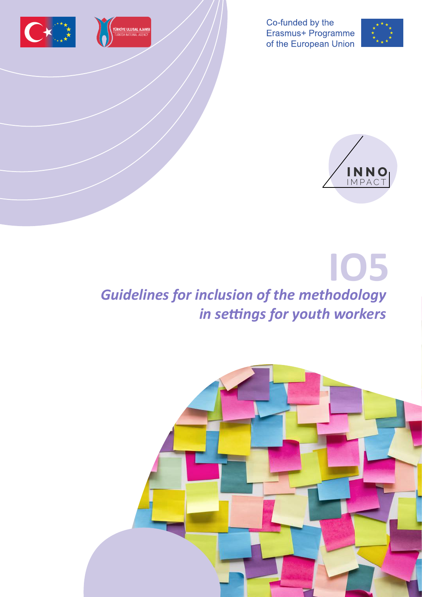



Co-funded by the Erasmus+ Programme of the European Union





# **IO5** *Guidelines for inclusion of the methodology in settings for youth workers*

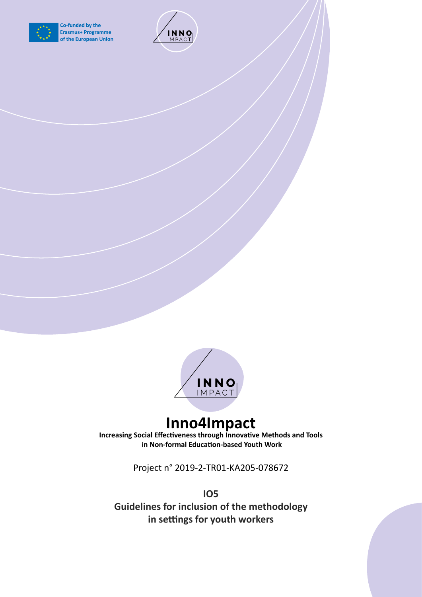

Co-funded by the **Erasmus+ Programme** of the European Union





# **Inno4Impact**

**Increasing Social Effectiveness through Innovative Methods and Tools in Non-formal Education-based Youth Work**

Project n° 2019-2-TR01-KA205-078672

**IO5**

**Guidelines for inclusion of the methodology in settings for youth workers**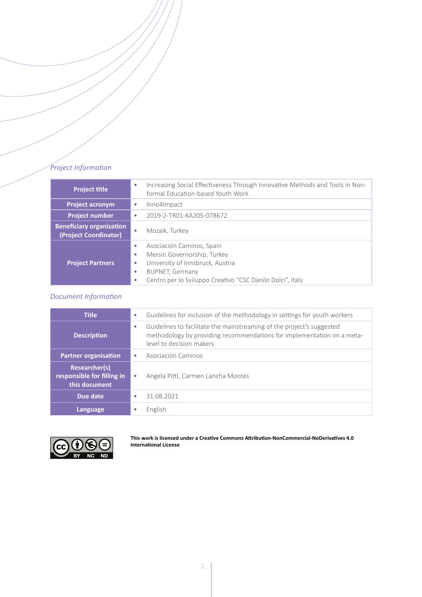### *Project Information*

| <b>Project title</b>                                     | Increasing Social Effectiveness Through Innovative Methods and Tools in Non-<br>$\bullet$<br>formal Education-based Youth Work                                                                                                               |
|----------------------------------------------------------|----------------------------------------------------------------------------------------------------------------------------------------------------------------------------------------------------------------------------------------------|
| <b>Project acronym</b>                                   | Inno4Impact<br>$\bullet$                                                                                                                                                                                                                     |
| <b>Project number</b>                                    | 2019-2-TR01-KA205-078672<br>$\bullet$                                                                                                                                                                                                        |
| <b>Beneficiary organization</b><br>(Project Coordinator) | Mozaik, Turkey<br>$\bullet$                                                                                                                                                                                                                  |
| <b>Project Partners</b>                                  | Asociación Caminos, Spain<br>٠<br>Mersin Governorship, Turkey<br>$\bullet$<br>University of Innsbruck, Austria<br>$\bullet$<br><b>BUPNET, Germany</b><br>$\bullet$<br>Centro per lo Sviluppo Creativo "CSC Danilo Dolci", Italy<br>$\bullet$ |

# *Document Information*

| <b>Title</b>                                                        | Guidelines for inclusion of the methodology in settings for youth workers<br>$\bullet$                                                                                                   |
|---------------------------------------------------------------------|------------------------------------------------------------------------------------------------------------------------------------------------------------------------------------------|
| <b>Description</b>                                                  | Guidelines to facilitate the mainstreaming of the project's suggested<br>$\bullet$<br>methodology by providing recommendations for implementation on a meta-<br>level to decision makers |
| <b>Partner organisation</b>                                         | Asociación Caminos<br>$\bullet$                                                                                                                                                          |
| <b>Researcher(s)</b><br>responsible for filling in<br>this document | Angela Pittl, Carmen Lancha Montes<br>$\bullet$                                                                                                                                          |
| Due date                                                            | 31.08.2021<br>$\bullet$                                                                                                                                                                  |
| Language                                                            | English<br>٠                                                                                                                                                                             |



**This work is licensed under a [Creative Commons Attribution-NonCommercial-NoDerivatives 4.0](http://creativecommons.org/licenses/by-nc-nd/4.0/)  [International License](http://creativecommons.org/licenses/by-nc-nd/4.0/)**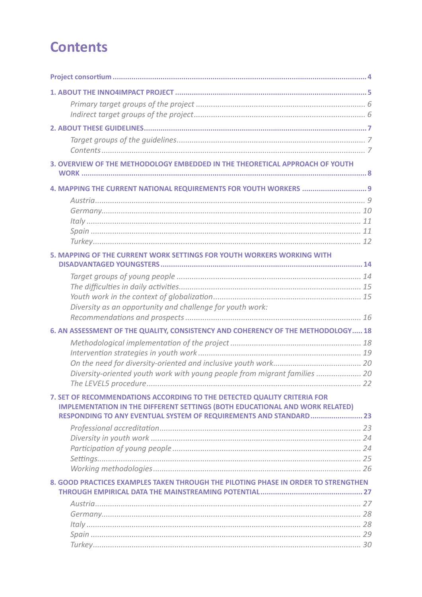# **Contents**

| 3. OVERVIEW OF THE METHODOLOGY EMBEDDED IN THE THEORETICAL APPROACH OF YOUTH                                                                                    |  |
|-----------------------------------------------------------------------------------------------------------------------------------------------------------------|--|
| 4. MAPPING THE CURRENT NATIONAL REQUIREMENTS FOR YOUTH WORKERS  9                                                                                               |  |
|                                                                                                                                                                 |  |
|                                                                                                                                                                 |  |
| Itally <i>11</i>                                                                                                                                                |  |
|                                                                                                                                                                 |  |
|                                                                                                                                                                 |  |
| 5. MAPPING OF THE CURRENT WORK SETTINGS FOR YOUTH WORKERS WORKING WITH                                                                                          |  |
|                                                                                                                                                                 |  |
|                                                                                                                                                                 |  |
|                                                                                                                                                                 |  |
| Diversity as an opportunity and challenge for youth work:                                                                                                       |  |
|                                                                                                                                                                 |  |
| 6. AN ASSESSMENT OF THE QUALITY, CONSISTENCY AND COHERENCY OF THE METHODOLOGY 18                                                                                |  |
|                                                                                                                                                                 |  |
|                                                                                                                                                                 |  |
|                                                                                                                                                                 |  |
| Diversity-oriented youth work with young people from migrant families  20                                                                                       |  |
|                                                                                                                                                                 |  |
| 7. SET OF RECOMMENDATIONS ACCORDING TO THE DETECTED QUALITY CRITERIA FOR<br><b>IMPLEMENTATION IN THE DIFFERENT SETTINGS (BOTH EDUCATIONAL AND WORK RELATED)</b> |  |
| RESPONDING TO ANY EVENTUAL SYSTEM OF REQUIREMENTS AND STANDARD 23                                                                                               |  |
|                                                                                                                                                                 |  |
|                                                                                                                                                                 |  |
|                                                                                                                                                                 |  |
|                                                                                                                                                                 |  |
| 8. GOOD PRACTICES EXAMPLES TAKEN THROUGH THE PILOTING PHASE IN ORDER TO STRENGTHEN                                                                              |  |
|                                                                                                                                                                 |  |
|                                                                                                                                                                 |  |
|                                                                                                                                                                 |  |
|                                                                                                                                                                 |  |
|                                                                                                                                                                 |  |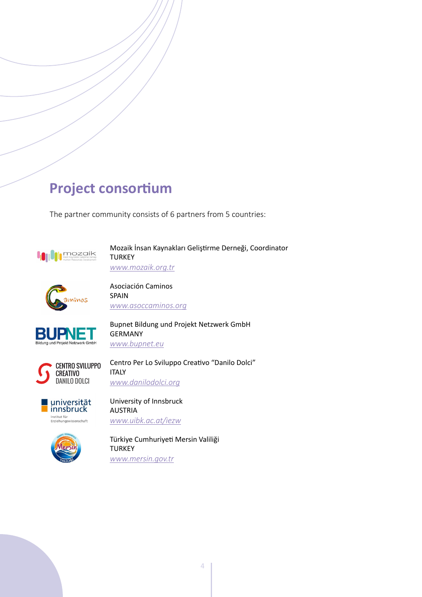# <span id="page-4-0"></span>**Project consortium**

The partner community consists of 6 partners from 5 countries:



Mozaik İnsan Kaynakları Geliştirme Derneği, Coordinator **TURKEY** *[www.mozaik.org.tr](http://www.mozaik.org.tr )*



Asociación Caminos SPAIN *[www.asoccaminos.org](http://www.asoccaminos.org )*



Bupnet Bildung und Projekt Netzwerk GmbH GERMANY *[www.bupnet.eu](http://www.bupnet.eu )*

Centro Per Lo Sviluppo Creativo "Danilo Dolci"





ITALY

University of Innsbruck AUSTRIA *[www.uibk.ac.at/iezw](http://www.uibk.ac.at/iezw )*



Institut für<br>Erziehungswissenschaft

Türkiye Cumhuriyeti Mersin Valiliği **TURKEY** *[www.mersin.gov.tr](http://www.mersin.gov.tr )*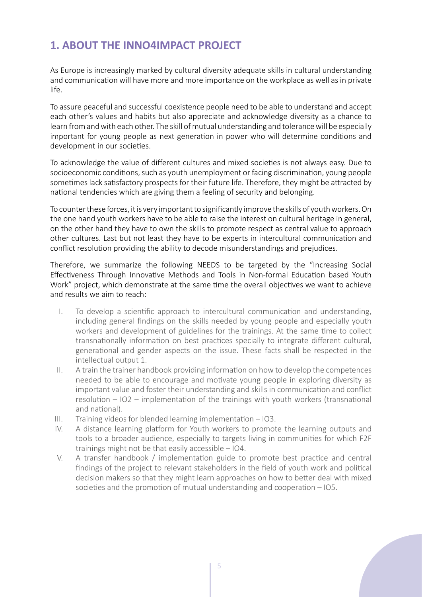# <span id="page-5-0"></span>**1. ABOUT THE INNO4IMPACT PROJECT**

As Europe is increasingly marked by cultural diversity adequate skills in cultural understanding and communication will have more and more importance on the workplace as well as in private life.

To assure peaceful and successful coexistence people need to be able to understand and accept each other's values and habits but also appreciate and acknowledge diversity as a chance to learn from and with each other. The skill of mutual understanding and tolerance will be especially important for young people as next generation in power who will determine conditions and development in our societies.

To acknowledge the value of different cultures and mixed societies is not always easy. Due to socioeconomic conditions, such as youth unemployment or facing discrimination, young people sometimes lack satisfactory prospects for their future life. Therefore, they might be attracted by national tendencies which are giving them a feeling of security and belonging.

To counter these forces, it is very important to significantly improve the skills of youth workers. On the one hand youth workers have to be able to raise the interest on cultural heritage in general, on the other hand they have to own the skills to promote respect as central value to approach other cultures. Last but not least they have to be experts in intercultural communication and conflict resolution providing the ability to decode misunderstandings and prejudices.

Therefore, we summarize the following NEEDS to be targeted by the "Increasing Social Effectiveness Through Innovative Methods and Tools in Non-formal Education based Youth Work" project, which demonstrate at the same time the overall objectives we want to achieve and results we aim to reach:

- I. To develop a scientific approach to intercultural communication and understanding, including general findings on the skills needed by young people and especially youth workers and development of guidelines for the trainings. At the same time to collect transnationally information on best practices specially to integrate different cultural, generational and gender aspects on the issue. These facts shall be respected in the intellectual output 1.
- II. A train the trainer handbook providing information on how to develop the competences needed to be able to encourage and motivate young people in exploring diversity as important value and foster their understanding and skills in communication and conflict resolution – IO2 – implementation of the trainings with youth workers (transnational and national).
- III. Training videos for blended learning implementation IO3.
- IV. A distance learning platform for Youth workers to promote the learning outputs and tools to a broader audience, especially to targets living in communities for which F2F trainings might not be that easily accessible – IO4.
- V. A transfer handbook / implementation guide to promote best practice and central findings of the project to relevant stakeholders in the field of youth work and political decision makers so that they might learn approaches on how to better deal with mixed societies and the promotion of mutual understanding and cooperation – IO5.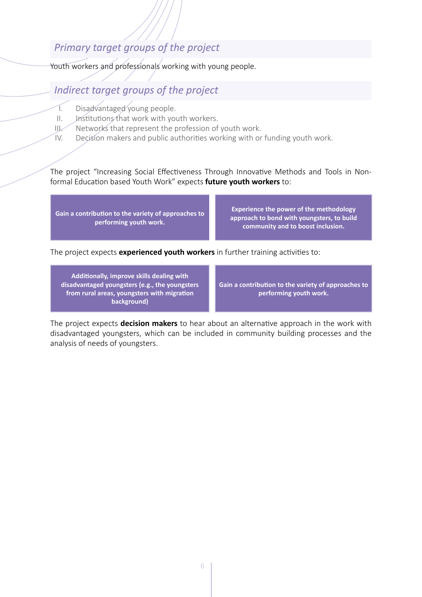# <span id="page-6-0"></span>*Primary target groups of the project*

Youth workers and professionals working with young people.

# *Indirect target groups of the project*

- I. Disadvantaged young people.
- II. Institutions that work with youth workers.
- III. Networks that represent the profession of youth work.
- IV. Decision makers and public authorities working with or funding youth work.

The project "Increasing Social Effectiveness Through Innovative Methods and Tools in Nonformal Education based Youth Work" expects **future youth workers** to:

**Gain a contribution to the variety of approaches to performing youth work.**

**Experience the power of the methodology approach to bond with youngsters, to build community and to boost inclusion.**

The project expects **experienced youth workers** in further training activities to:

**Additionally, improve skills dealing with disadvantaged youngsters (e.g., the youngsters from rural areas, youngsters with migration background)**

**Gain a contribution to the variety of approaches to performing youth work.**

The project expects **decision makers** to hear about an alternative approach in the work with disadvantaged youngsters, which can be included in community building processes and the analysis of needs of youngsters.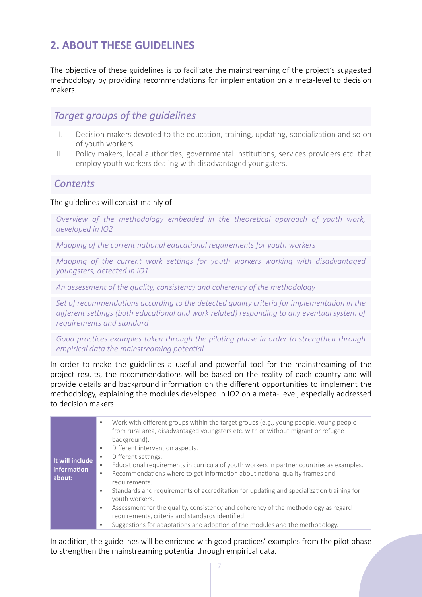# <span id="page-7-0"></span>**2. ABOUT THESE GUIDELINES**

The objective of these guidelines is to facilitate the mainstreaming of the project's suggested methodology by providing recommendations for implementation on a meta-level to decision makers.

# *Target groups of the guidelines*

- I. Decision makers devoted to the education, training, updating, specialization and so on of youth workers.
- II. Policy makers, local authorities, governmental institutions, services providers etc. that employ youth workers dealing with disadvantaged youngsters.

# *Contents*

### The guidelines will consist mainly of:

*Overview of the methodology embedded in the theoretical approach of youth work, developed in IO2*

*Mapping of the current national educational requirements for youth workers*

*Mapping of the current work settings for youth workers working with disadvantaged youngsters, detected in IO1* 

*An assessment of the quality, consistency and coherency of the methodology*

*Set of recommendations according to the detected quality criteria for implementation in the*  different settings (both educational and work related) responding to any eventual system of *requirements and standard*

*Good practices examples taken through the piloting phase in order to strengthen through empirical data the mainstreaming potential*

In order to make the guidelines a useful and powerful tool for the mainstreaming of the project results, the recommendations will be based on the reality of each country and will provide details and background information on the different opportunities to implement the methodology, explaining the modules developed in IO2 on a meta- level, especially addressed to decision makers.

| It will include<br>information<br>about: | Work with different groups within the target groups (e.g., young people, young people<br>$\bullet$<br>from rural area, disadvantaged youngsters etc. with or without migrant or refugee<br>background).<br>Different intervention aspects.<br>$\bullet$<br>Different settings.<br>$\bullet$<br>Educational requirements in curricula of youth workers in partner countries as examples.<br>$\bullet$<br>Recommendations where to get information about national quality frames and<br>$\bullet$<br>requirements.<br>Standards and requirements of accreditation for updating and specialization training for<br>۰<br>youth workers.<br>Assessment for the quality, consistency and coherency of the methodology as regard<br>$\bullet$<br>requirements, criteria and standards identified. |
|------------------------------------------|--------------------------------------------------------------------------------------------------------------------------------------------------------------------------------------------------------------------------------------------------------------------------------------------------------------------------------------------------------------------------------------------------------------------------------------------------------------------------------------------------------------------------------------------------------------------------------------------------------------------------------------------------------------------------------------------------------------------------------------------------------------------------------------------|
|                                          | Suggestions for adaptations and adoption of the modules and the methodology.                                                                                                                                                                                                                                                                                                                                                                                                                                                                                                                                                                                                                                                                                                               |

In addition, the guidelines will be enriched with good practices' examples from the pilot phase to strengthen the mainstreaming potential through empirical data.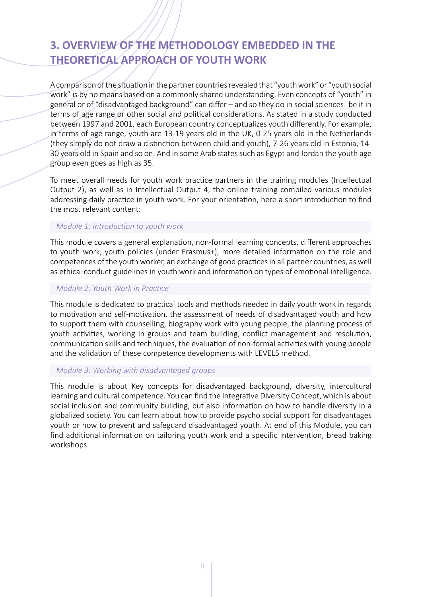# <span id="page-8-0"></span>**3. OVERVIEW OF THE METHODOLOGY EMBEDDED IN THE THEORETICAL APPROACH OF YOUTH WORK**

A comparison of the situation in the partner countries revealed that "youth work" or "youth social work" is by no means based on a commonly shared understanding. Even concepts of "youth" in general or of "disadvantaged background" can differ - and so they do in social sciences- be it in terms of age range or other social and political considerations. As stated in a study conducted between 1997 and 2001, each European country conceptualizes youth differently. For example, in terms of age range, youth are 13-19 years old in the UK, 0-25 years old in the Netherlands (they simply do not draw a distinction between child and youth), 7-26 years old in Estonia, 14- 30 years old in Spain and so on. And in some Arab states such as Egypt and Jordan the youth age group even goes as high as 35.

To meet overall needs for youth work practice partners in the training modules (Intellectual Output 2), as well as in Intellectual Output 4, the online training compiled various modules addressing daily practice in youth work. For your orientation, here a short introduction to find the most relevant content:

### *Module 1: Introduction to youth work*

This module covers a general explanation, non-formal learning concepts, different approaches to youth work, youth policies (under Erasmus+), more detailed information on the role and competences of the youth worker, an exchange of good practices in all partner countries, as well as ethical conduct guidelines in youth work and information on types of emotional intelligence.

### *Module 2: Youth Work in Practice*

This module is dedicated to practical tools and methods needed in daily youth work in regards to motivation and self-motivation, the assessment of needs of disadvantaged youth and how to support them with counselling, biography work with young people, the planning process of youth activities, working in groups and team building, conflict management and resolution, communication skills and techniques, the evaluation of non-formal activities with young people and the validation of these competence developments with LEVEL5 method.

### *Module 3: Working with disadvantaged groups*

This module is about Key concepts for disadvantaged background, diversity, intercultural learning and cultural competence. You can find the Integrative Diversity Concept, which is about social inclusion and community building, but also information on how to handle diversity in a globalized society. You can learn about how to provide psycho social support for disadvantages youth or how to prevent and safeguard disadvantaged youth. At end of this Module, you can find additional information on tailoring youth work and a specific intervention, bread baking workshops.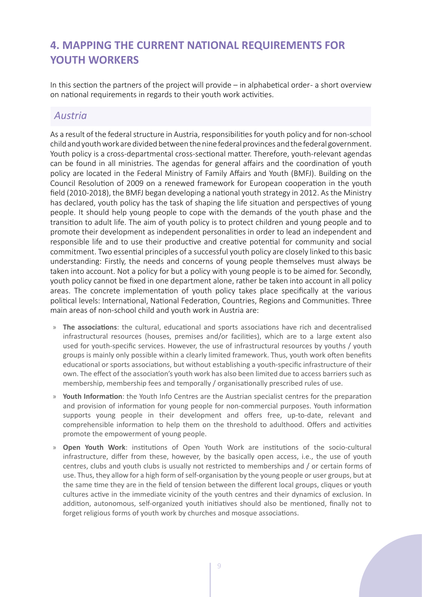# <span id="page-9-0"></span>**4. MAPPING THE CURRENT NATIONAL REQUIREMENTS FOR YOUTH WORKERS**

In this section the partners of the project will provide – in alphabetical order - a short overview on national requirements in regards to their youth work activities.

### *Austria*

As a result of the federal structure in Austria, responsibilities for youth policy and for non-school child and youth work are divided between the nine federal provinces and the federal government. Youth policy is a cross-departmental cross-sectional matter. Therefore, youth-relevant agendas can be found in all ministries. The agendas for general affairs and the coordination of youth policy are located in the Federal Ministry of Family Affairs and Youth (BMFJ). Building on the Council Resolution of 2009 on a renewed framework for European cooperation in the youth field (2010-2018), the BMFJ began developing a national youth strategy in 2012. As the Ministry has declared, youth policy has the task of shaping the life situation and perspectives of young people. It should help young people to cope with the demands of the youth phase and the transition to adult life. The aim of youth policy is to protect children and young people and to promote their development as independent personalities in order to lead an independent and responsible life and to use their productive and creative potential for community and social commitment. Two essential principles of a successful youth policy are closely linked to this basic understanding: Firstly, the needs and concerns of young people themselves must always be taken into account. Not a policy for but a policy with young people is to be aimed for. Secondly, youth policy cannot be fixed in one department alone, rather be taken into account in all policy areas. The concrete implementation of youth policy takes place specifically at the various political levels: International, National Federation, Countries, Regions and Communities. Three main areas of non-school child and youth work in Austria are:

- » **The associations**: the cultural, educational and sports associations have rich and decentralised infrastructural resources (houses, premises and/or facilities), which are to a large extent also used for youth-specific services. However, the use of infrastructural resources by youths / youth groups is mainly only possible within a clearly limited framework. Thus, youth work often benefits educational or sports associations, but without establishing a youth-specific infrastructure of their own. The effect of the association's youth work has also been limited due to access barriers such as membership, membership fees and temporally / organisationally prescribed rules of use.
- » **Youth Information**: the Youth Info Centres are the Austrian specialist centres for the preparation and provision of information for young people for non-commercial purposes. Youth information supports young people in their development and offers free, up-to-date, relevant and comprehensible information to help them on the threshold to adulthood. Offers and activities promote the empowerment of young people.
- » **Open Youth Work**: institutions of Open Youth Work are institutions of the socio-cultural infrastructure, differ from these, however, by the basically open access, i.e., the use of youth centres, clubs and youth clubs is usually not restricted to memberships and / or certain forms of use. Thus, they allow for a high form of self-organisation by the young people or user groups, but at the same time they are in the field of tension between the different local groups, cliques or youth cultures active in the immediate vicinity of the youth centres and their dynamics of exclusion. In addition, autonomous, self-organized youth initiatives should also be mentioned, finally not to forget religious forms of youth work by churches and mosque associations.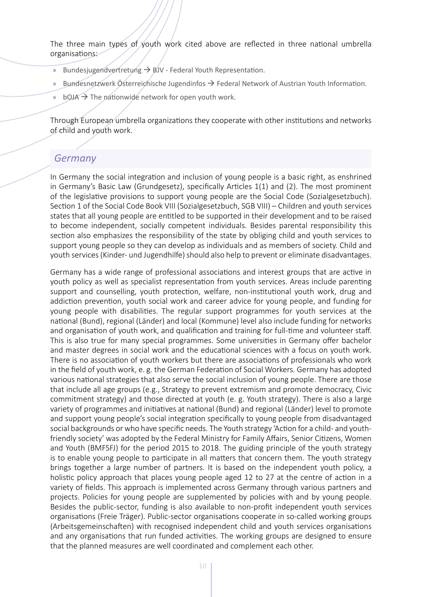<span id="page-10-0"></span>The three main types of youth work cited above are reflected in three national umbrella organisations:

- » Bundesjugendvertretung  $\rightarrow$  BJV Federal Youth Representation.
- » Bundesnetzwerk Österreichische Jugendinfos  $\rightarrow$  Federal Network of Austrian Youth Information.
- » bOJA  $\rightarrow$  The nationwide network for open youth work.

Through European umbrella organizations they cooperate with other institutions and networks of child and youth work.

# *Germany*

In Germany the social integration and inclusion of young people is a basic right, as enshrined in Germany's Basic Law (Grundgesetz), specifically Articles 1(1) and (2). The most prominent of the legislative provisions to support young people are the Social Code (Sozialgesetzbuch). Section 1 of the Social Code Book VIII (Sozialgesetzbuch, SGB VIII) – Children and youth services states that all young people are entitled to be supported in their development and to be raised to become independent, socially competent individuals. Besides parental responsibility this section also emphasizes the responsibility of the state by obliging child and youth services to support young people so they can develop as individuals and as members of society. Child and youth services (Kinder- und Jugendhilfe) should also help to prevent or eliminate disadvantages.

Germany has a wide range of professional associations and interest groups that are active in youth policy as well as specialist representation from youth services. Areas include parenting support and counselling, youth protection, welfare, non-institutional youth work, drug and addiction prevention, youth social work and career advice for young people, and funding for young people with disabilities. The regular support programmes for youth services at the national (Bund), regional (Länder) and local (Kommune) level also include funding for networks and organisation of youth work, and qualification and training for full-time and volunteer staff. This is also true for many special programmes. Some universities in Germany offer bachelor and master degrees in social work and the educational sciences with a focus on youth work. There is no association of youth workers but there are associations of professionals who work in the field of youth work, e. g. the German Federation of Social Workers. Germany has adopted various national strategies that also serve the social inclusion of young people. There are those that include all age groups (e.g., Strategy to prevent extremism and promote democracy, Civic commitment strategy) and those directed at youth (e. g. Youth strategy). There is also a large variety of programmes and initiatives at national (Bund) and regional (Länder) level to promote and support young people's social integration specifically to young people from disadvantaged social backgrounds or who have specific needs. The Youth strategy 'Action for a child- and youthfriendly society' was adopted by the Federal Ministry for Family Affairs, Senior Citizens, Women and Youth (BMFSFJ) for the period 2015 to 2018. The guiding principle of the youth strategy is to enable young people to participate in all matters that concern them. The youth strategy brings together a large number of partners. It is based on the independent youth policy, a holistic policy approach that places young people aged 12 to 27 at the centre of action in a variety of fields. This approach is implemented across Germany through various partners and projects. Policies for young people are supplemented by policies with and by young people. Besides the public-sector, funding is also available to non-profit independent youth services organisations (Freie Träger). Public-sector organisations cooperate in so-called working groups (Arbeitsgemeinschaften) with recognised independent child and youth services organisations and any organisations that run funded activities. The working groups are designed to ensure that the planned measures are well coordinated and complement each other.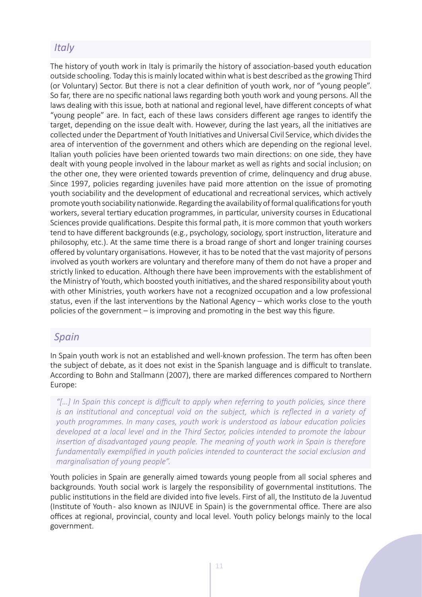# <span id="page-11-0"></span>*Italy*

The history of youth work in Italy is primarily the history of association-based youth education outside schooling. Today this is mainly located within what is best described as the growing Third (or Voluntary) Sector. But there is not a clear definition of youth work, nor of "young people". So far, there are no specific national laws regarding both youth work and young persons. All the laws dealing with this issue, both at national and regional level, have different concepts of what "young people" are. In fact, each of these laws considers different age ranges to identify the target, depending on the issue dealt with. However, during the last years, all the initiatives are collected under the Department of Youth Initiatives and Universal Civil Service, which divides the area of intervention of the government and others which are depending on the regional level. Italian youth policies have been oriented towards two main directions: on one side, they have dealt with young people involved in the labour market as well as rights and social inclusion; on the other one, they were oriented towards prevention of crime, delinquency and drug abuse. Since 1997, policies regarding juveniles have paid more attention on the issue of promoting youth sociability and the development of educational and recreational services, which actively promote youth sociability nationwide. Regarding the availability of formal qualifications for youth workers, several tertiary education programmes, in particular, university courses in Educational Sciences provide qualifications. Despite this formal path, it is more common that youth workers tend to have different backgrounds (e.g., psychology, sociology, sport instruction, literature and philosophy, etc.). At the same time there is a broad range of short and longer training courses offered by voluntary organisations. However, it has to be noted that the vast majority of persons involved as youth workers are voluntary and therefore many of them do not have a proper and strictly linked to education. Although there have been improvements with the establishment of the Ministry of Youth, which boosted youth initiatives, and the shared responsibility about youth with other Ministries, youth workers have not a recognized occupation and a low professional status, even if the last interventions by the National Agency – which works close to the youth policies of the government – is improving and promoting in the best way this figure.

# *Spain*

In Spain youth work is not an established and well-known profession. The term has often been the subject of debate, as it does not exist in the Spanish language and is difficult to translate. According to Bohn and Stallmann (2007), there are marked differences compared to Northern Europe:

*"[…] In Spain this concept is difficult to apply when referring to youth policies, since there is an institutional and conceptual void on the subject, which is reflected in a variety of youth programmes. In many cases, youth work is understood as labour education policies developed at a local level and in the Third Sector, policies intended to promote the labour insertion of disadvantaged young people. The meaning of youth work in Spain is therefore fundamentally exemplified in youth policies intended to counteract the social exclusion and marginalisation of young people".* 

Youth policies in Spain are generally aimed towards young people from all social spheres and backgrounds. Youth social work is largely the responsibility of governmental institutions. The public institutions in the field are divided into five levels. First of all, the Instituto de la Juventud (Institute of Youth - also known as INJUVE in Spain) is the governmental office. There are also offices at regional, provincial, county and local level. Youth policy belongs mainly to the local government.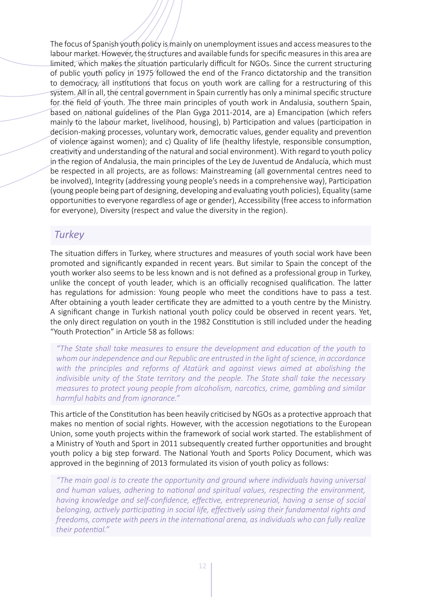<span id="page-12-0"></span>The focus of Spanish youth policy is mainly on unemployment issues and access measures to the labour market. However, the structures and available funds for specific measures in this area are limited, which makes the situation particularly difficult for NGOs. Since the current structuring of public youth policy in 1975 followed the end of the Franco dictatorship and the transition to democracy, all institutions that focus on youth work are calling for a restructuring of this system. All in all, the central government in Spain currently has only a minimal specific structure for the field of youth. The three main principles of youth work in Andalusia, southern Spain, based on national guidelines of the Plan Gyga 2011-2014, are a) Emancipation (which refers mainly to the labour market, livelihood, housing), b) Participation and values (participation in decision-making processes, voluntary work, democratic values, gender equality and prevention of violence against women); and c) Quality of life (healthy lifestyle, responsible consumption, creativity and understanding of the natural and social environment). With regard to youth policy in the region of Andalusia, the main principles of the Ley de Juventud de Andalucía, which must be respected in all projects, are as follows: Mainstreaming (all governmental centres need to be involved), Integrity (addressing young people's needs in a comprehensive way), Participation (young people being part of designing, developing and evaluating youth policies), Equality (same opportunities to everyone regardless of age or gender), Accessibility (free access to information for everyone), Diversity (respect and value the diversity in the region).

# *Turkey*

The situation differs in Turkey, where structures and measures of youth social work have been promoted and significantly expanded in recent years. But similar to Spain the concept of the youth worker also seems to be less known and is not defined as a professional group in Turkey, unlike the concept of youth leader, which is an officially recognised qualification. The latter has regulations for admission: Young people who meet the conditions have to pass a test. After obtaining a youth leader certificate they are admitted to a youth centre by the Ministry. A significant change in Turkish national youth policy could be observed in recent years. Yet, the only direct regulation on youth in the 1982 Constitution is still included under the heading "Youth Protection" in Article 58 as follows:

*"The State shall take measures to ensure the development and education of the youth to whom our independence and our Republic are entrusted in the light of science, in accordance with the principles and reforms of Atatürk and against views aimed at abolishing the indivisible unity of the State territory and the people. The State shall take the necessary measures to protect young people from alcoholism, narcotics, crime, gambling and similar harmful habits and from ignorance."*

This article of the Constitution has been heavily criticised by NGOs as a protective approach that makes no mention of social rights. However, with the accession negotiations to the European Union, some youth projects within the framework of social work started. The establishment of a Ministry of Youth and Sport in 2011 subsequently created further opportunities and brought youth policy a big step forward. The National Youth and Sports Policy Document, which was approved in the beginning of 2013 formulated its vision of youth policy as follows:

*"The main goal is to create the opportunity and ground where individuals having universal and human values, adhering to national and spiritual values, respecting the environment, having knowledge and self-confidence, effective, entrepreneurial, having a sense of social belonging, actively participating in social life, effectively using their fundamental rights and freedoms, compete with peers in the international arena, as individuals who can fully realize their potential."*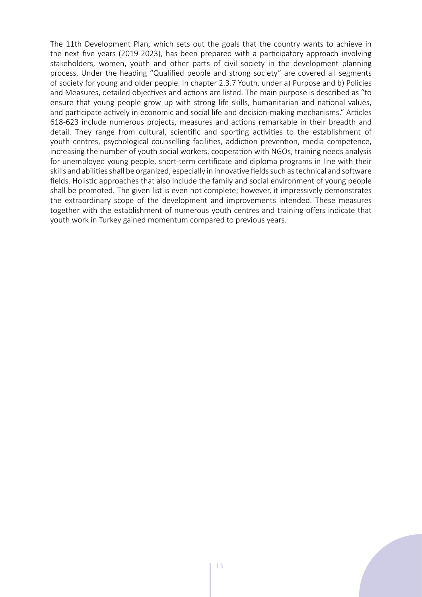The 11th Development Plan, which sets out the goals that the country wants to achieve in the next five years (2019-2023), has been prepared with a participatory approach involving stakeholders, women, youth and other parts of civil society in the development planning process. Under the heading "Qualified people and strong society" are covered all segments of society for young and older people. In chapter 2.3.7 Youth, under a) Purpose and b) Policies and Measures, detailed objectives and actions are listed. The main purpose is described as "to ensure that young people grow up with strong life skills, humanitarian and national values, and participate actively in economic and social life and decision-making mechanisms." Articles 618-623 include numerous projects, measures and actions remarkable in their breadth and detail. They range from cultural, scientific and sporting activities to the establishment of youth centres, psychological counselling facilities, addiction prevention, media competence, increasing the number of youth social workers, cooperation with NGOs, training needs analysis for unemployed young people, short-term certificate and diploma programs in line with their skills and abilities shall be organized, especially in innovative fields such as technical and software fields. Holistic approaches that also include the family and social environment of young people shall be promoted. The given list is even not complete; however, it impressively demonstrates the extraordinary scope of the development and improvements intended. These measures together with the establishment of numerous youth centres and training offers indicate that youth work in Turkey gained momentum compared to previous years.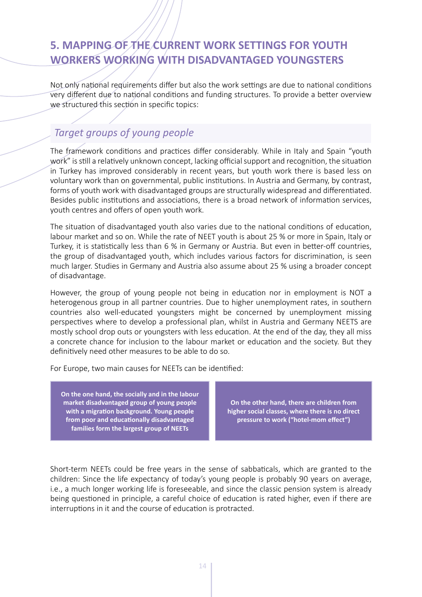# <span id="page-14-0"></span>**5. MAPPING OF THE CURRENT WORK SETTINGS FOR YOUTH WORKERS WORKING WITH DISADVANTAGED YOUNGSTERS**

Not only national requirements differ but also the work settings are due to national conditions very different due to national conditions and funding structures. To provide a better overview we structured this section in specific topics:

# *Target groups of young people*

The framework conditions and practices differ considerably. While in Italy and Spain "youth work" is still a relatively unknown concept, lacking official support and recognition, the situation in Turkey has improved considerably in recent years, but youth work there is based less on voluntary work than on governmental, public institutions. In Austria and Germany, by contrast, forms of youth work with disadvantaged groups are structurally widespread and differentiated. Besides public institutions and associations, there is a broad network of information services, youth centres and offers of open youth work.

The situation of disadvantaged youth also varies due to the national conditions of education, labour market and so on. While the rate of NEET youth is about 25 % or more in Spain, Italy or Turkey, it is statistically less than 6 % in Germany or Austria. But even in better-off countries, the group of disadvantaged youth, which includes various factors for discrimination, is seen much larger. Studies in Germany and Austria also assume about 25 % using a broader concept of disadvantage.

However, the group of young people not being in education nor in employment is NOT a heterogenous group in all partner countries. Due to higher unemployment rates, in southern countries also well-educated youngsters might be concerned by unemployment missing perspectives where to develop a professional plan, whilst in Austria and Germany NEETS are mostly school drop outs or youngsters with less education. At the end of the day, they all miss a concrete chance for inclusion to the labour market or education and the society. But they definitively need other measures to be able to do so.

For Europe, two main causes for NEETs can be identified:

**On the one hand, the socially and in the labour market disadvantaged group of young people with a migration background. Young people from poor and educationally disadvantaged families form the largest group of NEETs**

**On the other hand, there are children from higher social classes, where there is no direct pressure to work ("hotel-mom effect")**

Short-term NEETs could be free years in the sense of sabbaticals, which are granted to the children: Since the life expectancy of today's young people is probably 90 years on average, i.e., a much longer working life is foreseeable, and since the classic pension system is already being questioned in principle, a careful choice of education is rated higher, even if there are interruptions in it and the course of education is protracted.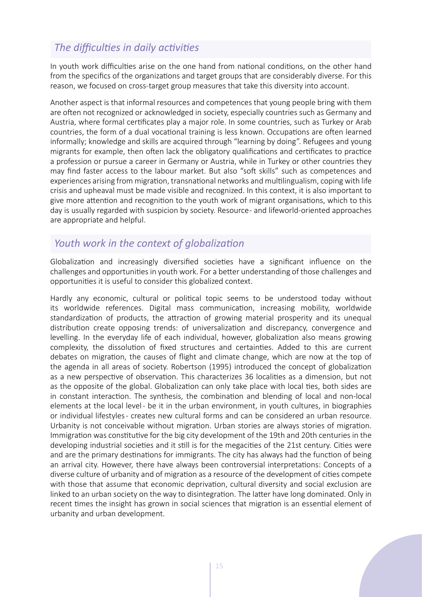# <span id="page-15-0"></span>*The difficulties in daily activities*

In youth work difficulties arise on the one hand from national conditions, on the other hand from the specifics of the organizations and target groups that are considerably diverse. For this reason, we focused on cross-target group measures that take this diversity into account.

Another aspect is that informal resources and competences that young people bring with them are often not recognized or acknowledged in society, especially countries such as Germany and Austria, where formal certificates play a major role. In some countries, such as Turkey or Arab countries, the form of a dual vocational training is less known. Occupations are often learned informally; knowledge and skills are acquired through "learning by doing". Refugees and young migrants for example, then often lack the obligatory qualifications and certificates to practice a profession or pursue a career in Germany or Austria, while in Turkey or other countries they may find faster access to the labour market. But also "soft skills" such as competences and experiences arising from migration, transnational networks and multilingualism, coping with life crisis and upheaval must be made visible and recognized. In this context, it is also important to give more attention and recognition to the youth work of migrant organisations, which to this day is usually regarded with suspicion by society. Resource - and lifeworld-oriented approaches are appropriate and helpful.

# *Youth work in the context of globalization*

Globalization and increasingly diversified societies have a significant influence on the challenges and opportunities in youth work. For a better understanding of those challenges and opportunities it is useful to consider this globalized context.

Hardly any economic, cultural or political topic seems to be understood today without its worldwide references. Digital mass communication, increasing mobility, worldwide standardization of products, the attraction of growing material prosperity and its unequal distribution create opposing trends: of universalization and discrepancy, convergence and levelling. In the everyday life of each individual, however, globalization also means growing complexity, the dissolution of fixed structures and certainties. Added to this are current debates on migration, the causes of flight and climate change, which are now at the top of the agenda in all areas of society. Robertson (1995) introduced the concept of globalization as a new perspective of observation. This characterizes 36 localities as a dimension, but not as the opposite of the global. Globalization can only take place with local ties, both sides are in constant interaction. The synthesis, the combination and blending of local and non-local elements at the local level - be it in the urban environment, in youth cultures, in biographies or individual lifestyles - creates new cultural forms and can be considered an urban resource. Urbanity is not conceivable without migration. Urban stories are always stories of migration. Immigration was constitutive for the big city development of the 19th and 20th centuries in the developing industrial societies and it still is for the megacities of the 21st century. Cities were and are the primary destinations for immigrants. The city has always had the function of being an arrival city. However, there have always been controversial interpretations: Concepts of a diverse culture of urbanity and of migration as a resource of the development of cities compete with those that assume that economic deprivation, cultural diversity and social exclusion are linked to an urban society on the way to disintegration. The latter have long dominated. Only in recent times the insight has grown in social sciences that migration is an essential element of urbanity and urban development.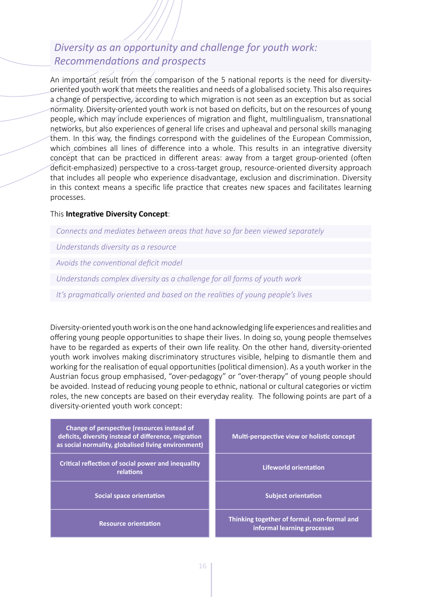# <span id="page-16-0"></span>*Diversity as an opportunity and challenge for youth work: Recommendations and prospects*

An important result from the comparison of the 5 national reports is the need for diversityoriented youth work that meets the realities and needs of a globalised society. This also requires a change of perspective, according to which migration is not seen as an exception but as social normality. Diversity-oriented youth work is not based on deficits, but on the resources of young people, which may include experiences of migration and flight, multilingualism, transnational networks, but also experiences of general life crises and upheaval and personal skills managing them. In this way, the findings correspond with the guidelines of the European Commission, which combines all lines of difference into a whole. This results in an integrative diversity concept that can be practiced in different areas: away from a target group-oriented (often deficit-emphasized) perspective to a cross-target group, resource-oriented diversity approach that includes all people who experience disadvantage, exclusion and discrimination. Diversity in this context means a specific life practice that creates new spaces and facilitates learning processes.

### This **Integrative Diversity Concept**:

*Connects and mediates between areas that have so far been viewed separately*

*Understands diversity as a resource*

*Avoids the conventional deficit model*

*Understands complex diversity as a challenge for all forms of youth work*

*It's pragmatically oriented and based on the realities of young people's lives*

Diversity-oriented youth work is on the one hand acknowledging life experiences and realities and offering young people opportunities to shape their lives. In doing so, young people themselves have to be regarded as experts of their own life reality. On the other hand, diversity-oriented youth work involves making discriminatory structures visible, helping to dismantle them and working for the realisation of equal opportunities (political dimension). As a youth worker in the Austrian focus group emphasised, "over-pedagogy" or "over-therapy" of young people should be avoided. Instead of reducing young people to ethnic, national or cultural categories or victim roles, the new concepts are based on their everyday reality. The following points are part of a diversity-oriented youth work concept:

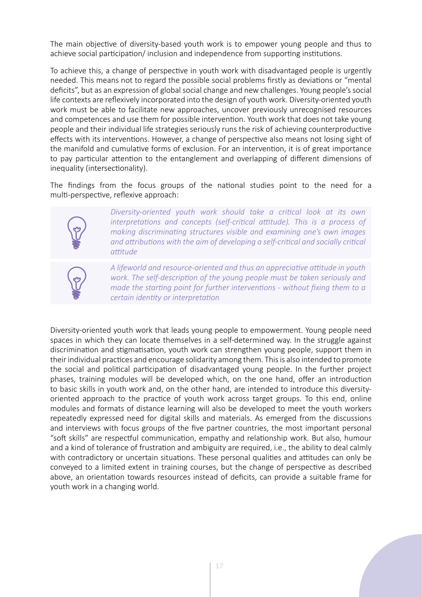The main objective of diversity-based youth work is to empower young people and thus to achieve social participation/ inclusion and independence from supporting institutions.

To achieve this, a change of perspective in youth work with disadvantaged people is urgently needed. This means not to regard the possible social problems firstly as deviations or "mental deficits", but as an expression of global social change and new challenges. Young people's social life contexts are reflexively incorporated into the design of youth work. Diversity-oriented youth work must be able to facilitate new approaches, uncover previously unrecognised resources and competences and use them for possible intervention. Youth work that does not take young people and their individual life strategies seriously runs the risk of achieving counterproductive effects with its interventions. However, a change of perspective also means not losing sight of the manifold and cumulative forms of exclusion. For an intervention, it is of great importance to pay particular attention to the entanglement and overlapping of different dimensions of inequality (intersectionality).

The findings from the focus groups of the national studies point to the need for a multi-perspective, reflexive approach:



*Diversity-oriented youth work should take a critical look at its own interpretations and concepts (self-critical attitude). This is a process of making discriminating structures visible and examining one's own images and attributions with the aim of developing a self-critical and socially critical attitude*



*A lifeworld and resource-oriented and thus an appreciative attitude in youth work. The self-description of the young people must be taken seriously and made the starting point for further interventions - without fixing them to a certain identity or interpretation*

Diversity-oriented youth work that leads young people to empowerment. Young people need spaces in which they can locate themselves in a self-determined way. In the struggle against discrimination and stigmatisation, youth work can strengthen young people, support them in their individual practices and encourage solidarity among them. This is also intended to promote the social and political participation of disadvantaged young people. In the further project phases, training modules will be developed which, on the one hand, offer an introduction to basic skills in youth work and, on the other hand, are intended to introduce this diversityoriented approach to the practice of youth work across target groups. To this end, online modules and formats of distance learning will also be developed to meet the youth workers repeatedly expressed need for digital skills and materials. As emerged from the discussions and interviews with focus groups of the five partner countries, the most important personal "soft skills" are respectful communication, empathy and relationship work. But also, humour and a kind of tolerance of frustration and ambiguity are required, i.e., the ability to deal calmly with contradictory or uncertain situations. These personal qualities and attitudes can only be conveyed to a limited extent in training courses, but the change of perspective as described above, an orientation towards resources instead of deficits, can provide a suitable frame for youth work in a changing world.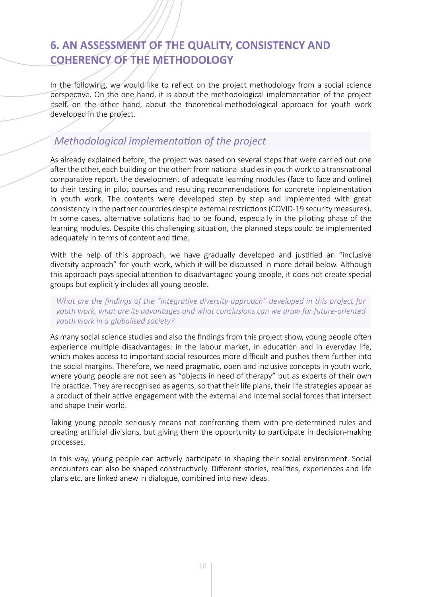# <span id="page-18-0"></span>**6. AN ASSESSMENT OF THE QUALITY, CONSISTENCY AND COHERENCY OF THE METHODOLOGY**

In the following, we would like to reflect on the project methodology from a social science perspective. On the one hand, it is about the methodological implementation of the project itself, on the other hand, about the theoretical-methodological approach for youth work developed in the project.

# *Methodological implementation of the project*

As already explained before, the project was based on several steps that were carried out one after the other, each building on the other: from national studies in youth work to a transnational comparative report, the development of adequate learning modules (face to face and online) to their testing in pilot courses and resulting recommendations for concrete implementation in youth work. The contents were developed step by step and implemented with great consistency in the partner countries despite external restrictions (COVID-19 security measures). In some cases, alternative solutions had to be found, especially in the piloting phase of the learning modules. Despite this challenging situation, the planned steps could be implemented adequately in terms of content and time.

With the help of this approach, we have gradually developed and justified an "inclusive diversity approach" for youth work, which it will be discussed in more detail below. Although this approach pays special attention to disadvantaged young people, it does not create special groups but explicitly includes all young people.

*What are the findings of the "integrative diversity approach" developed in this project for youth work, what are its advantages and what conclusions can we draw for future-oriented youth work in a globalised society?*

As many social science studies and also the findings from this project show, young people often experience multiple disadvantages: in the labour market, in education and in everyday life, which makes access to important social resources more difficult and pushes them further into the social margins. Therefore, we need pragmatic, open and inclusive concepts in youth work, where young people are not seen as "objects in need of therapy" but as experts of their own life practice. They are recognised as agents, so that their life plans, their life strategies appear as a product of their active engagement with the external and internal social forces that intersect and shape their world.

Taking young people seriously means not confronting them with pre-determined rules and creating artificial divisions, but giving them the opportunity to participate in decision-making processes.

In this way, young people can actively participate in shaping their social environment. Social encounters can also be shaped constructively. Different stories, realities, experiences and life plans etc. are linked anew in dialogue, combined into new ideas.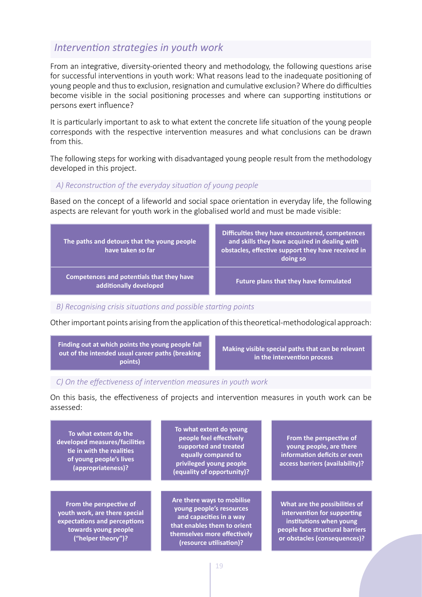### <span id="page-19-0"></span>*Intervention strategies in youth work*

From an integrative, diversity-oriented theory and methodology, the following questions arise for successful interventions in youth work: What reasons lead to the inadequate positioning of young people and thus to exclusion, resignation and cumulative exclusion? Where do difficulties become visible in the social positioning processes and where can supporting institutions or persons exert influence?

It is particularly important to ask to what extent the concrete life situation of the young people corresponds with the respective intervention measures and what conclusions can be drawn from this.

The following steps for working with disadvantaged young people result from the methodology developed in this project.

### *A) Reconstruction of the everyday situation of young people*

Based on the concept of a lifeworld and social space orientation in everyday life, the following aspects are relevant for youth work in the globalised world and must be made visible:



### *B) Recognising crisis situations and possible starting points*

Other important points arising from the application of this theoretical-methodological approach:

**Finding out at which points the young people fall out of the intended usual career paths (breaking points)**

**Making visible special paths that can be relevant in the intervention process**

### *C) On the effectiveness of intervention measures in youth work*

On this basis, the effectiveness of projects and intervention measures in youth work can be assessed:

**To what extent do the developed measures/facilities tie in with the realities of young people's lives (appropriateness)?**

**From the perspective of youth work, are there special expectations and perceptions towards young people ("helper theory")?**

**To what extent do young people feel effectively supported and treated equally compared to privileged young people (equality of opportunity)?**

**Are there ways to mobilise young people's resources and capacities in a way that enables them to orient themselves more effectively (resource utilisation)?**

**From the perspective of young people, are there information deficits or even access barriers (availability)?**

**What are the possibilities of intervention for supporting institutions when young people face structural barriers or obstacles (consequences)?**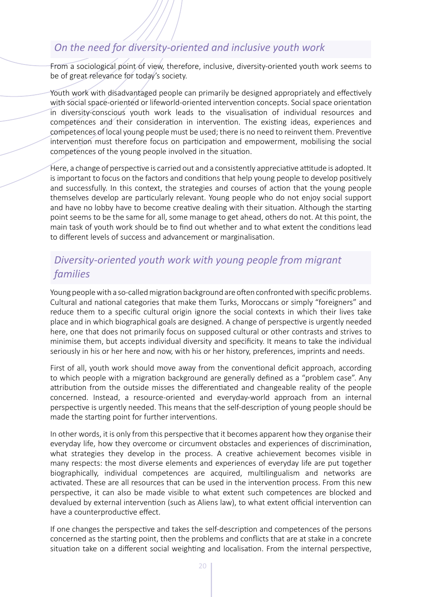# <span id="page-20-0"></span>*On the need for diversity-oriented and inclusive youth work*

From a sociological point of view, therefore, inclusive, diversity-oriented youth work seems to be of great relevance for today's society.

Youth work with disadvantaged people can primarily be designed appropriately and effectively with social space-oriented or lifeworld-oriented intervention concepts. Social space orientation in diversity-conscious youth work leads to the visualisation of individual resources and competences and their consideration in intervention. The existing ideas, experiences and competences of local young people must be used; there is no need to reinvent them. Preventive intervention must therefore focus on participation and empowerment, mobilising the social competences of the young people involved in the situation.

Here, a change of perspective is carried out and a consistently appreciative attitude is adopted. It is important to focus on the factors and conditions that help young people to develop positively and successfully. In this context, the strategies and courses of action that the young people themselves develop are particularly relevant. Young people who do not enjoy social support and have no lobby have to become creative dealing with their situation. Although the starting point seems to be the same for all, some manage to get ahead, others do not. At this point, the main task of youth work should be to find out whether and to what extent the conditions lead to different levels of success and advancement or marginalisation.

# *Diversity-oriented youth work with young people from migrant families*

Young people with a so-called migration background are often confronted with specific problems. Cultural and national categories that make them Turks, Moroccans or simply "foreigners" and reduce them to a specific cultural origin ignore the social contexts in which their lives take place and in which biographical goals are designed. A change of perspective is urgently needed here, one that does not primarily focus on supposed cultural or other contrasts and strives to minimise them, but accepts individual diversity and specificity. It means to take the individual seriously in his or her here and now, with his or her history, preferences, imprints and needs.

First of all, youth work should move away from the conventional deficit approach, according to which people with a migration background are generally defined as a "problem case". Any attribution from the outside misses the differentiated and changeable reality of the people concerned. Instead, a resource-oriented and everyday-world approach from an internal perspective is urgently needed. This means that the self-description of young people should be made the starting point for further interventions.

In other words, it is only from this perspective that it becomes apparent how they organise their everyday life, how they overcome or circumvent obstacles and experiences of discrimination, what strategies they develop in the process. A creative achievement becomes visible in many respects: the most diverse elements and experiences of everyday life are put together biographically, individual competences are acquired, multilingualism and networks are activated. These are all resources that can be used in the intervention process. From this new perspective, it can also be made visible to what extent such competences are blocked and devalued by external intervention (such as Aliens law), to what extent official intervention can have a counterproductive effect.

If one changes the perspective and takes the self-description and competences of the persons concerned as the starting point, then the problems and conflicts that are at stake in a concrete situation take on a different social weighting and localisation. From the internal perspective,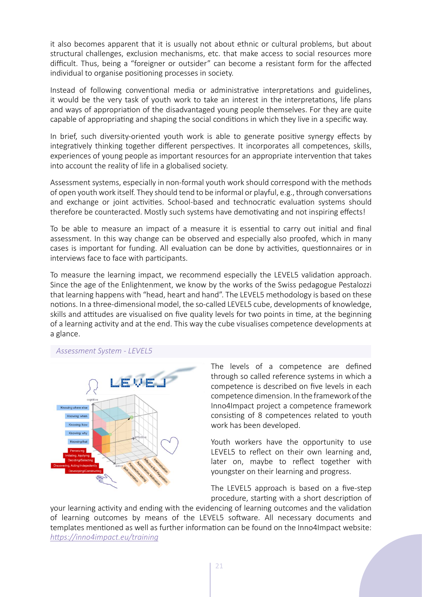it also becomes apparent that it is usually not about ethnic or cultural problems, but about structural challenges, exclusion mechanisms, etc. that make access to social resources more difficult. Thus, being a "foreigner or outsider" can become a resistant form for the affected individual to organise positioning processes in society.

Instead of following conventional media or administrative interpretations and guidelines, it would be the very task of youth work to take an interest in the interpretations, life plans and ways of appropriation of the disadvantaged young people themselves. For they are quite capable of appropriating and shaping the social conditions in which they live in a specific way.

In brief, such diversity-oriented youth work is able to generate positive synergy effects by integratively thinking together different perspectives. It incorporates all competences, skills, experiences of young people as important resources for an appropriate intervention that takes into account the reality of life in a globalised society.

Assessment systems, especially in non-formal youth work should correspond with the methods of open youth work itself. They should tend to be informal or playful, e.g., through conversations and exchange or joint activities. School-based and technocratic evaluation systems should therefore be counteracted. Mostly such systems have demotivating and not inspiring effects!

To be able to measure an impact of a measure it is essential to carry out initial and final assessment. In this way change can be observed and especially also proofed, which in many cases is important for funding. All evaluation can be done by activities, questionnaires or in interviews face to face with participants.

To measure the learning impact, we recommend especially the LEVEL5 validation approach. Since the age of the Enlightenment, we know by the works of the Swiss pedagogue Pestalozzi that learning happens with "head, heart and hand". The LEVEL5 methodology is based on these notions. In a three-dimensional model, the so-called LEVEL5 cube, developments of knowledge, skills and attitudes are visualised on five quality levels for two points in time, at the beginning of a learning activity and at the end. This way the cube visualises competence developments at a glance.

*Assessment System - LEVEL5*



The levels of a competence are defined through so called reference systems in which a competence is described on five levels in each competence dimension. In the framework of the Inno4Impact project a competence framework consisting of 8 competences related to youth work has been developed.

Youth workers have the opportunity to use LEVEL5 to reflect on their own learning and, later on, maybe to reflect together with youngster on their learning and progress.

The LEVEL5 approach is based on a five-step procedure, starting with a short description of

your learning activity and ending with the evidencing of learning outcomes and the validation of learning outcomes by means of the LEVEL5 software. All necessary documents and templates mentioned as well as further information can be found on the Inno4Impact website: *[https://inno4impact.eu/training](https://inno4impact.eu/training/)*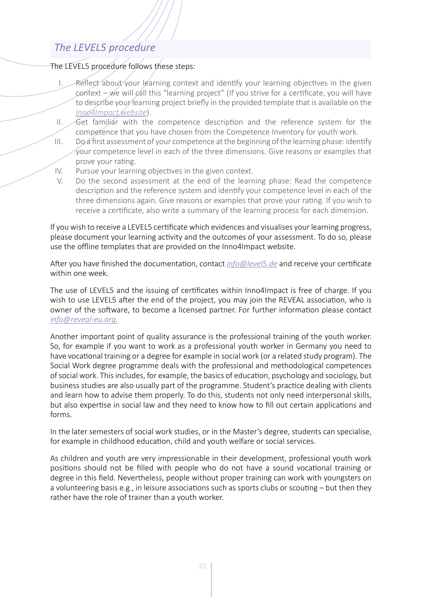# <span id="page-22-0"></span>*The LEVEL5 procedure*

### The LEVEL5 procedure follows these steps:

- I. Reflect about your learning context and identify your learning objectives in the given context – we will call this "learning project" (If you strive for a certificate, you will have to describe your learning project briefly in the provided template that is available on the *[Inno4Impact website](https://inno4impact.eu/validation-of-competence-developments-in-youth-work-with-level-5/)*).
- II. Get familiar with the competence description and the reference system for the competence that you have chosen from the Competence Inventory for youth work.
- III. Do a first assessment of your competence at the beginning of the learning phase: identify your competence level in each of the three dimensions. Give reasons or examples that prove your rating.
- IV. Pursue your learning objectives in the given context.
- V. Do the second assessment at the end of the learning phase: Read the competence description and the reference system and identify your competence level in each of the three dimensions again. Give reasons or examples that prove your rating. If you wish to receive a certificate, also write a summary of the learning process for each dimension.

If you wish to receive a LEVEL5 certificate which evidences and visualises your learning progress, please document your learning activity and the outcomes of your assessment. To do so, please use the offline templates that are provided on the Inno4Impact website.

After you have finished the documentation, contact *info@level5.de* and receive your certificate within one week

The use of LEVEL5 and the issuing of certificates within Inno4Impact is free of charge. If you wish to use LEVEL5 after the end of the project, you may join the REVEAL association, who is owner of the software, to become a licensed partner. For further information please contact *info@reveal-eu.org.*

Another important point of quality assurance is the professional training of the youth worker. So, for example if you want to work as a professional youth worker in Germany you need to have vocational training or a degree for example in social work (or a related study program). The Social Work degree programme deals with the professional and methodological competences of social work. This includes, for example, the basics of education, psychology and sociology, but business studies are also usually part of the programme. Student's practice dealing with clients and learn how to advise them properly. To do this, students not only need interpersonal skills, but also expertise in social law and they need to know how to fill out certain applications and forms.

In the later semesters of social work studies, or in the Master's degree, students can specialise, for example in childhood education, child and youth welfare or social services.

As children and youth are very impressionable in their development, professional youth work positions should not be filled with people who do not have a sound vocational training or degree in this field. Nevertheless, people without proper training can work with youngsters on a volunteering basis e.g., in leisure associations such as sports clubs or scouting – but then they rather have the role of trainer than a youth worker.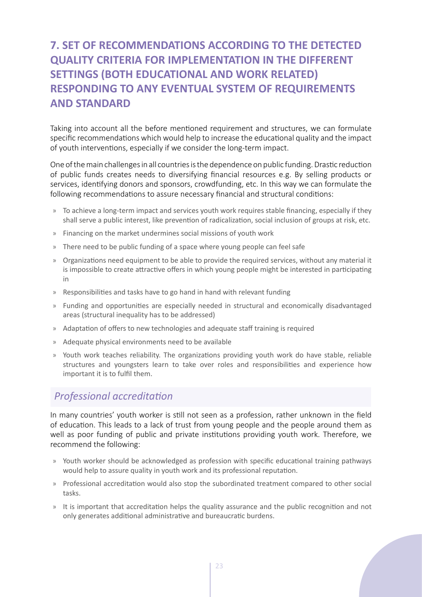# <span id="page-23-0"></span>**7. SET OF RECOMMENDATIONS ACCORDING TO THE DETECTED QUALITY CRITERIA FOR IMPLEMENTATION IN THE DIFFERENT SETTINGS (BOTH EDUCATIONAL AND WORK RELATED) RESPONDING TO ANY EVENTUAL SYSTEM OF REQUIREMENTS AND STANDARD**

Taking into account all the before mentioned requirement and structures, we can formulate specific recommendations which would help to increase the educational quality and the impact of youth interventions, especially if we consider the long-term impact.

One of the main challenges in all countries is the dependence on public funding. Drastic reduction of public funds creates needs to diversifying financial resources e.g. By selling products or services, identifying donors and sponsors, crowdfunding, etc. In this way we can formulate the following recommendations to assure necessary financial and structural conditions:

- » To achieve a long-term impact and services youth work requires stable financing, especially if they shall serve a public interest, like prevention of radicalization, social inclusion of groups at risk, etc.
- » Financing on the market undermines social missions of youth work
- » There need to be public funding of a space where young people can feel safe
- » Organizations need equipment to be able to provide the required services, without any material it is impossible to create attractive offers in which young people might be interested in participating in
- » Responsibilities and tasks have to go hand in hand with relevant funding
- » Funding and opportunities are especially needed in structural and economically disadvantaged areas (structural inequality has to be addressed)
- » Adaptation of offers to new technologies and adequate staff training is required
- » Adequate physical environments need to be available
- » Youth work teaches reliability. The organizations providing youth work do have stable, reliable structures and youngsters learn to take over roles and responsibilities and experience how important it is to fulfil them.

# *Professional accreditation*

In many countries' youth worker is still not seen as a profession, rather unknown in the field of education. This leads to a lack of trust from young people and the people around them as well as poor funding of public and private institutions providing youth work. Therefore, we recommend the following:

- » Youth worker should be acknowledged as profession with specific educational training pathways would help to assure quality in youth work and its professional reputation.
- » Professional accreditation would also stop the subordinated treatment compared to other social tasks.
- » It is important that accreditation helps the quality assurance and the public recognition and not only generates additional administrative and bureaucratic burdens.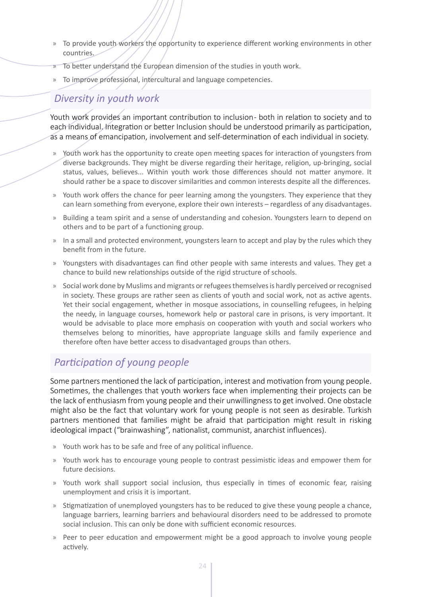- <span id="page-24-0"></span>» To provide youth workers the opportunity to experience different working environments in other countries.
- $\overline{p}$  To better understand the European dimension of the studies in youth work.
- » To improve professional, intercultural and language competencies.

# *Diversity in youth work*

Youth work provides an important contribution to inclusion - both in relation to society and to each individual. Integration or better Inclusion should be understood primarily as participation, as a means of emancipation, involvement and self-determination of each individual in society.

- » Youth work has the opportunity to create open meeting spaces for interaction of youngsters from diverse backgrounds. They might be diverse regarding their heritage, religion, up-bringing, social status, values, believes... Within youth work those differences should not matter anymore. It should rather be a space to discover similarities and common interests despite all the differences.
- » Youth work offers the chance for peer learning among the youngsters. They experience that they can learn something from everyone, explore their own interests – regardless of any disadvantages.
- » Building a team spirit and a sense of understanding and cohesion. Youngsters learn to depend on others and to be part of a functioning group.
- » In a small and protected environment, youngsters learn to accept and play by the rules which they benefit from in the future.
- » Youngsters with disadvantages can find other people with same interests and values. They get a chance to build new relationships outside of the rigid structure of schools.
- » Social work done by Muslims and migrants or refugees themselves is hardly perceived or recognised in society. These groups are rather seen as clients of youth and social work, not as active agents. Yet their social engagement, whether in mosque associations, in counselling refugees, in helping the needy, in language courses, homework help or pastoral care in prisons, is very important. It would be advisable to place more emphasis on cooperation with youth and social workers who themselves belong to minorities, have appropriate language skills and family experience and therefore often have better access to disadvantaged groups than others.

# *Participation of young people*

Some partners mentioned the lack of participation, interest and motivation from young people. Sometimes, the challenges that youth workers face when implementing their projects can be the lack of enthusiasm from young people and their unwillingness to get involved. One obstacle might also be the fact that voluntary work for young people is not seen as desirable. Turkish partners mentioned that families might be afraid that participation might result in risking ideological impact ("brainwashing", nationalist, communist, anarchist influences).

- » Youth work has to be safe and free of any political influence.
- » Youth work has to encourage young people to contrast pessimistic ideas and empower them for future decisions.
- » Youth work shall support social inclusion, thus especially in times of economic fear, raising unemployment and crisis it is important.
- » Stigmatization of unemployed youngsters has to be reduced to give these young people a chance, language barriers, learning barriers and behavioural disorders need to be addressed to promote social inclusion. This can only be done with sufficient economic resources.
- » Peer to peer education and empowerment might be a good approach to involve young people actively.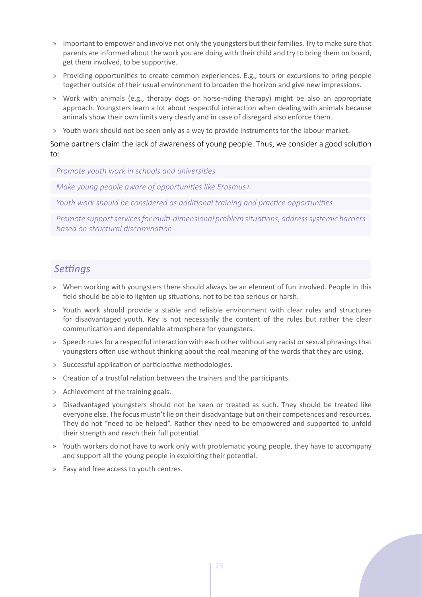- <span id="page-25-0"></span>» Important to empower and involve not only the youngsters but their families. Try to make sure that parents are informed about the work you are doing with their child and try to bring them on board, get them involved, to be supportive.
- » Providing opportunities to create common experiences. E.g., tours or excursions to bring people together outside of their usual environment to broaden the horizon and give new impressions.
- » Work with animals (e.g., therapy dogs or horse-riding therapy) might be also an appropriate approach. Youngsters learn a lot about respectful interaction when dealing with animals because animals show their own limits very clearly and in case of disregard also enforce them.
- » Youth work should not be seen only as a way to provide instruments for the labour market.

Some partners claim the lack of awareness of young people. Thus, we consider a good solution to:

*Promote youth work in schools and universities*

*Make young people aware of opportunities like Erasmus+*

*Youth work should be considered as additional training and practice opportunities*

*Promote support services for multi-dimensional problem situations, address systemic barriers based on structural discrimination*

# *Settings*

- » When working with youngsters there should always be an element of fun involved. People in this field should be able to lighten up situations, not to be too serious or harsh.
- » Youth work should provide a stable and reliable environment with clear rules and structures for disadvantaged youth. Key is not necessarily the content of the rules but rather the clear communication and dependable atmosphere for youngsters.
- » Speech rules for a respectful interaction with each other without any racist or sexual phrasings that youngsters often use without thinking about the real meaning of the words that they are using.
- » Successful application of participative methodologies.
- » Creation of a trustful relation between the trainers and the participants.
- » Achievement of the training goals.
- » Disadvantaged youngsters should not be seen or treated as such. They should be treated like everyone else. The focus mustn't lie on their disadvantage but on their competences and resources. They do not "need to be helped". Rather they need to be empowered and supported to unfold their strength and reach their full potential.
- » Youth workers do not have to work only with problematic young people, they have to accompany and support all the young people in exploiting their potential.
- » Easy and free access to youth centres.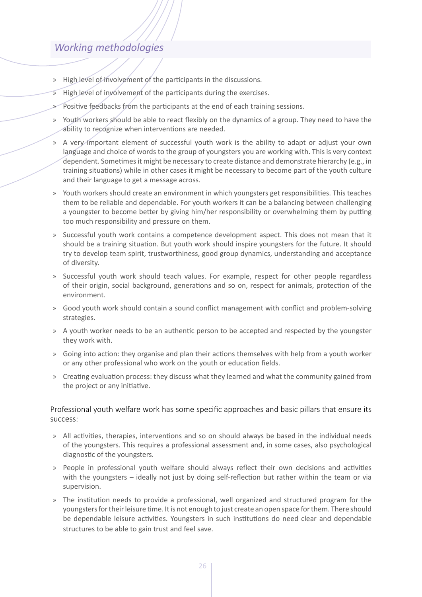# <span id="page-26-0"></span>*Working methodologies*

- » High level of involvement of the participants in the discussions.
- » High level of involvement of the participants during the exercises.
- Positive feedbacks from the participants at the end of each training sessions.
- » Youth workers should be able to react flexibly on the dynamics of a group. They need to have the ability to recognize when interventions are needed.
- » A very important element of successful youth work is the ability to adapt or adjust your own language and choice of words to the group of youngsters you are working with. This is very context dependent. Sometimes it might be necessary to create distance and demonstrate hierarchy (e.g., in training situations) while in other cases it might be necessary to become part of the youth culture and their language to get a message across.
- » Youth workers should create an environment in which youngsters get responsibilities. This teaches them to be reliable and dependable. For youth workers it can be a balancing between challenging a youngster to become better by giving him/her responsibility or overwhelming them by putting too much responsibility and pressure on them.
- » Successful youth work contains a competence development aspect. This does not mean that it should be a training situation. But youth work should inspire youngsters for the future. It should try to develop team spirit, trustworthiness, good group dynamics, understanding and acceptance of diversity.
- » Successful youth work should teach values. For example, respect for other people regardless of their origin, social background, generations and so on, respect for animals, protection of the environment.
- » Good youth work should contain a sound conflict management with conflict and problem-solving strategies.
- » A youth worker needs to be an authentic person to be accepted and respected by the youngster they work with.
- » Going into action: they organise and plan their actions themselves with help from a youth worker or any other professional who work on the youth or education fields.
- » Creating evaluation process: they discuss what they learned and what the community gained from the project or any initiative.

### Professional youth welfare work has some specific approaches and basic pillars that ensure its success:

- » All activities, therapies, interventions and so on should always be based in the individual needs of the youngsters. This requires a professional assessment and, in some cases, also psychological diagnostic of the youngsters.
- » People in professional youth welfare should always reflect their own decisions and activities with the youngsters – ideally not just by doing self-reflection but rather within the team or via supervision.
- » The institution needs to provide a professional, well organized and structured program for the youngsters for their leisure time. It is not enough to just create an open space for them. There should be dependable leisure activities. Youngsters in such institutions do need clear and dependable structures to be able to gain trust and feel save.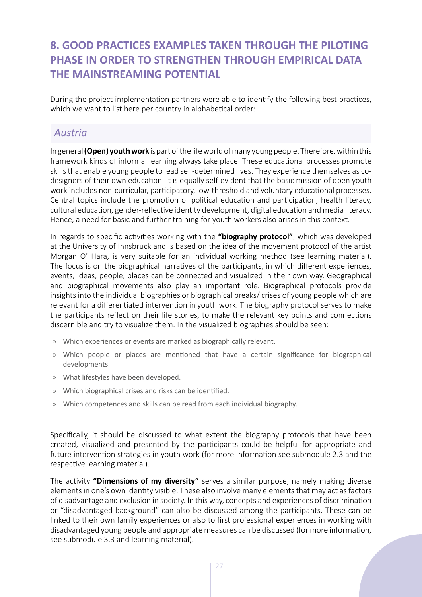# <span id="page-27-0"></span>**8. GOOD PRACTICES EXAMPLES TAKEN THROUGH THE PILOTING PHASE IN ORDER TO STRENGTHEN THROUGH EMPIRICAL DATA THE MAINSTREAMING POTENTIAL**

During the project implementation partners were able to identify the following best practices, which we want to list here per country in alphabetical order:

# *Austria*

In general **(Open) youth work** is part of the life world of many young people. Therefore, within this framework kinds of informal learning always take place. These educational processes promote skills that enable young people to lead self-determined lives. They experience themselves as codesigners of their own education. It is equally self-evident that the basic mission of open youth work includes non-curricular, participatory, low-threshold and voluntary educational processes. Central topics include the promotion of political education and participation, health literacy, cultural education, gender-reflective identity development, digital education and media literacy. Hence, a need for basic and further training for youth workers also arises in this context.

In regards to specific activities working with the **"biography protocol"**, which was developed at the University of Innsbruck and is based on the idea of the movement protocol of the artist Morgan O' Hara, is very suitable for an individual working method (see learning material). The focus is on the biographical narratives of the participants, in which different experiences, events, ideas, people, places can be connected and visualized in their own way. Geographical and biographical movements also play an important role. Biographical protocols provide insights into the individual biographies or biographical breaks/ crises of young people which are relevant for a differentiated intervention in youth work. The biography protocol serves to make the participants reflect on their life stories, to make the relevant key points and connections discernible and try to visualize them. In the visualized biographies should be seen:

- » Which experiences or events are marked as biographically relevant.
- » Which people or places are mentioned that have a certain significance for biographical developments.
- » What lifestyles have been developed.
- » Which biographical crises and risks can be identified.
- » Which competences and skills can be read from each individual biography.

Specifically, it should be discussed to what extent the biography protocols that have been created, visualized and presented by the participants could be helpful for appropriate and future intervention strategies in youth work (for more information see submodule 2.3 and the respective learning material).

The activity **"Dimensions of my diversity"** serves a similar purpose, namely making diverse elements in one's own identity visible. These also involve many elements that may act as factors of disadvantage and exclusion in society. In this way, concepts and experiences of discrimination or "disadvantaged background" can also be discussed among the participants. These can be linked to their own family experiences or also to first professional experiences in working with disadvantaged young people and appropriate measures can be discussed (for more information, see submodule 3.3 and learning material).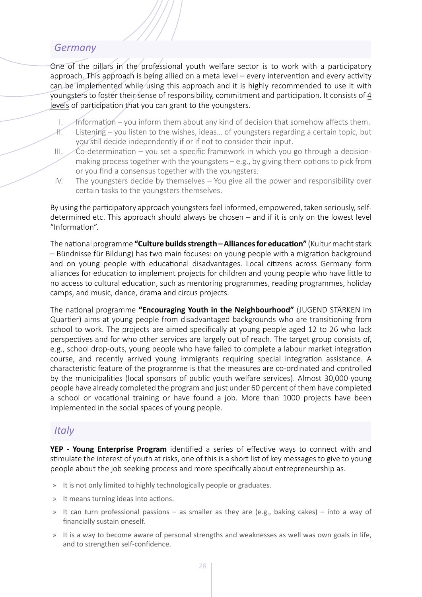# <span id="page-28-0"></span>*Germany*

One of the pillars in the professional youth welfare sector is to work with a participatory approach. This approach is being allied on a meta level – every intervention and every activity can be implemented while using this approach and it is highly recommended to use it with youngsters to foster their sense of responsibility, commitment and participation. It consists of 4 levels of participation that you can grant to the youngsters.

- I. Information you inform them about any kind of decision that somehow affects them.
- II. Listening you listen to the wishes, ideas… of youngsters regarding a certain topic, but you still decide independently if or if not to consider their input.
- III.  $\angle$ Co-determination you set a specific framework in which you go through a decisionmaking process together with the youngsters – e.g., by giving them options to pick from or you find a consensus together with the youngsters.
- IV. The youngsters decide by themselves You give all the power and responsibility over certain tasks to the youngsters themselves.

By using the participatory approach youngsters feel informed, empowered, taken seriously, selfdetermined etc. This approach should always be chosen – and if it is only on the lowest level "Information".

The national programme **"Culture builds strength – Alliances for education"** (Kultur macht stark – Bündnisse für Bildung) has two main focuses: on young people with a migration background and on young people with educational disadvantages. Local citizens across Germany form alliances for education to implement projects for children and young people who have little to no access to cultural education, such as mentoring programmes, reading programmes, holiday camps, and music, dance, drama and circus projects.

The national programme **"Encouraging Youth in the Neighbourhood"** (JUGEND STÄRKEN im Quartier) aims at young people from disadvantaged backgrounds who are transitioning from school to work. The projects are aimed specifically at young people aged 12 to 26 who lack perspectives and for who other services are largely out of reach. The target group consists of, e.g., school drop-outs, young people who have failed to complete a labour market integration course, and recently arrived young immigrants requiring special integration assistance. A characteristic feature of the programme is that the measures are co-ordinated and controlled by the municipalities (local sponsors of public youth welfare services). Almost 30,000 young people have already completed the program and just under 60 percent of them have completed a school or vocational training or have found a job. More than 1000 projects have been implemented in the social spaces of young people.

# *Italy*

**YEP - Young Enterprise Program** identified a series of effective ways to connect with and stimulate the interest of youth at risks, one of this is a short list of key messages to give to young people about the job seeking process and more specifically about entrepreneurship as.

- » It is not only limited to highly technologically people or graduates.
- » It means turning ideas into actions.
- » It can turn professional passions as smaller as they are (e.g., baking cakes) into a way of financially sustain oneself.
- » It is a way to become aware of personal strengths and weaknesses as well was own goals in life, and to strengthen self-confidence.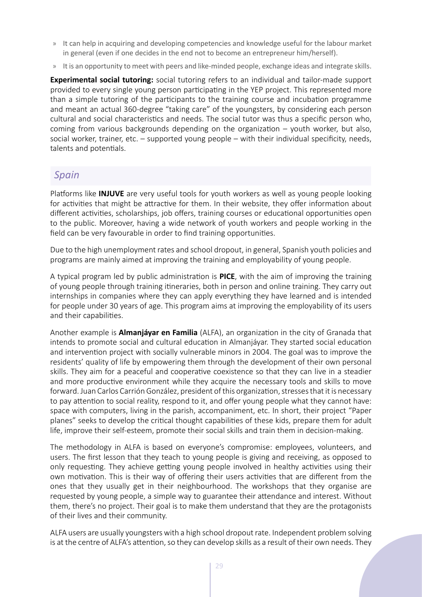- <span id="page-29-0"></span>» It can help in acquiring and developing competencies and knowledge useful for the labour market in general (even if one decides in the end not to become an entrepreneur him/herself).
- » It is an opportunity to meet with peers and like-minded people, exchange ideas and integrate skills.

**Experimental social tutoring:** social tutoring refers to an individual and tailor-made support provided to every single young person participating in the YEP project. This represented more than a simple tutoring of the participants to the training course and incubation programme and meant an actual 360-degree "taking care" of the youngsters, by considering each person cultural and social characteristics and needs. The social tutor was thus a specific person who, coming from various backgrounds depending on the organization – youth worker, but also, social worker, trainer, etc. – supported young people – with their individual specificity, needs, talents and potentials.

# *Spain*

Platforms like **INJUVE** are very useful tools for youth workers as well as young people looking for activities that might be attractive for them. In their website, they offer information about different activities, scholarships, job offers, training courses or educational opportunities open to the public. Moreover, having a wide network of youth workers and people working in the field can be very favourable in order to find training opportunities.

Due to the high unemployment rates and school dropout, in general, Spanish youth policies and programs are mainly aimed at improving the training and employability of young people.

A typical program led by public administration is **PICE**, with the aim of improving the training of young people through training itineraries, both in person and online training. They carry out internships in companies where they can apply everything they have learned and is intended for people under 30 years of age. This program aims at improving the employability of its users and their capabilities.

Another example is **Almanjáyar en Familia** (ALFA), an organization in the city of Granada that intends to promote social and cultural education in Almanjáyar. They started social education and intervention project with socially vulnerable minors in 2004. The goal was to improve the residents' quality of life by empowering them through the development of their own personal skills. They aim for a peaceful and cooperative coexistence so that they can live in a steadier and more productive environment while they acquire the necessary tools and skills to move forward. Juan Carlos Carrión González, president of this organization, stresses that it is necessary to pay attention to social reality, respond to it, and offer young people what they cannot have: space with computers, living in the parish, accompaniment, etc. In short, their project "Paper planes" seeks to develop the critical thought capabilities of these kids, prepare them for adult life, improve their self-esteem, promote their social skills and train them in decision-making.

The methodology in ALFA is based on everyone's compromise: employees, volunteers, and users. The first lesson that they teach to young people is giving and receiving, as opposed to only requesting. They achieve getting young people involved in healthy activities using their own motivation. This is their way of offering their users activities that are different from the ones that they usually get in their neighbourhood. The workshops that they organise are requested by young people, a simple way to guarantee their attendance and interest. Without them, there's no project. Their goal is to make them understand that they are the protagonists of their lives and their community.

ALFA users are usually youngsters with a high school dropout rate. Independent problem solving is at the centre of ALFA's attention, so they can develop skills as a result of their own needs. They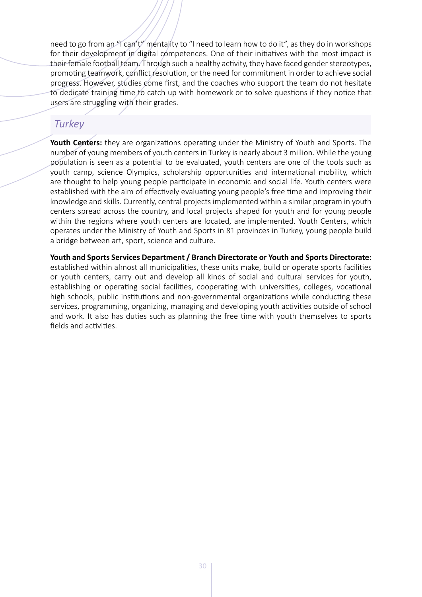<span id="page-30-0"></span>need to go from an "I can't" mentality to "I need to learn how to do it", as they do in workshops for their development in digital competences. One of their initiatives with the most impact is their female football team. Through such a healthy activity, they have faced gender stereotypes, promoting teamwork, conflict resolution, or the need for commitment in order to achieve social progress. However, studies come first, and the coaches who support the team do not hesitate to dedicate training time to catch up with homework or to solve questions if they notice that users are struggling with their grades.

# *Turkey*

**Youth Centers:** they are organizations operating under the Ministry of Youth and Sports. The number of young members of youth centers in Turkey is nearly about 3 million. While the young population is seen as a potential to be evaluated, youth centers are one of the tools such as youth camp, science Olympics, scholarship opportunities and international mobility, which are thought to help young people participate in economic and social life. Youth centers were established with the aim of effectively evaluating young people's free time and improving their knowledge and skills. Currently, central projects implemented within a similar program in youth centers spread across the country, and local projects shaped for youth and for young people within the regions where youth centers are located, are implemented. Youth Centers, which operates under the Ministry of Youth and Sports in 81 provinces in Turkey, young people build a bridge between art, sport, science and culture.

**Youth and Sports Services Department / Branch Directorate or Youth and Sports Directorate:**  established within almost all municipalities, these units make, build or operate sports facilities or youth centers, carry out and develop all kinds of social and cultural services for youth, establishing or operating social facilities, cooperating with universities, colleges, vocational high schools, public institutions and non-governmental organizations while conducting these services, programming, organizing, managing and developing youth activities outside of school and work. It also has duties such as planning the free time with youth themselves to sports fields and activities.